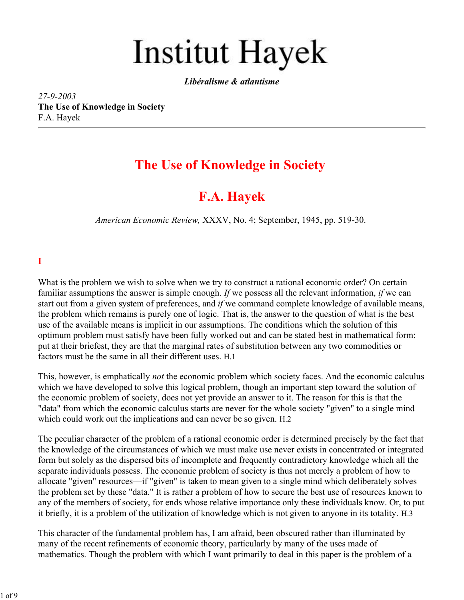# **Institut Hayek**

*Libéralisme & atlantisme*

*27-9-2003* **The Use of Knowledge in Society** F.A. Hayek

## **The Use of Knowledge in Society**

### **F.A. Hayek**

*American Economic Review,* XXXV, No. 4; September, 1945, pp. 519-30.

**I** 

What is the problem we wish to solve when we try to construct a rational economic order? On certain familiar assumptions the answer is simple enough. *If* we possess all the relevant information, *if* we can start out from a given system of preferences, and *if* we command complete knowledge of available means, the problem which remains is purely one of logic. That is, the answer to the question of what is the best use of the available means is implicit in our assumptions. The conditions which the solution of this optimum problem must satisfy have been fully worked out and can be stated best in mathematical form: put at their briefest, they are that the marginal rates of substitution between any two commodities or factors must be the same in all their different uses. H.1

This, however, is emphatically *not* the economic problem which society faces. And the economic calculus which we have developed to solve this logical problem, though an important step toward the solution of the economic problem of society, does not yet provide an answer to it. The reason for this is that the "data" from which the economic calculus starts are never for the whole society "given" to a single mind which could work out the implications and can never be so given. H.2

The peculiar character of the problem of a rational economic order is determined precisely by the fact that the knowledge of the circumstances of which we must make use never exists in concentrated or integrated form but solely as the dispersed bits of incomplete and frequently contradictory knowledge which all the separate individuals possess. The economic problem of society is thus not merely a problem of how to allocate "given" resources—if "given" is taken to mean given to a single mind which deliberately solves the problem set by these "data." It is rather a problem of how to secure the best use of resources known to any of the members of society, for ends whose relative importance only these individuals know. Or, to put it briefly, it is a problem of the utilization of knowledge which is not given to anyone in its totality. H.3

This character of the fundamental problem has, I am afraid, been obscured rather than illuminated by many of the recent refinements of economic theory, particularly by many of the uses made of mathematics. Though the problem with which I want primarily to deal in this paper is the problem of a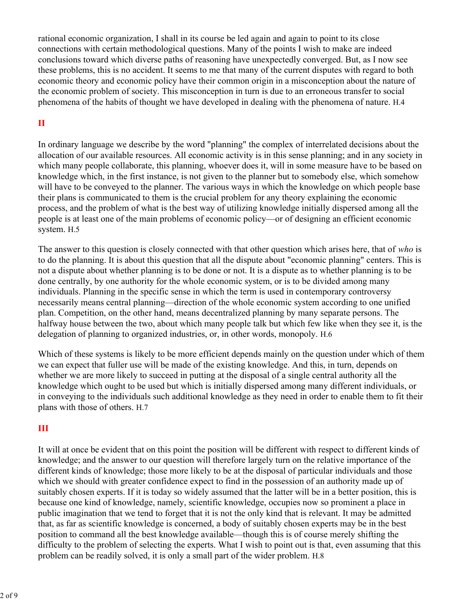rational economic organization, I shall in its course be led again and again to point to its close connections with certain methodological questions. Many of the points I wish to make are indeed conclusions toward which diverse paths of reasoning have unexpectedly converged. But, as I now see these problems, this is no accident. It seems to me that many of the current disputes with regard to both economic theory and economic policy have their common origin in a misconception about the nature of the economic problem of society. This misconception in turn is due to an erroneous transfer to social phenomena of the habits of thought we have developed in dealing with the phenomena of nature. H.4

#### **II**

In ordinary language we describe by the word "planning" the complex of interrelated decisions about the allocation of our available resources. All economic activity is in this sense planning; and in any society in which many people collaborate, this planning, whoever does it, will in some measure have to be based on knowledge which, in the first instance, is not given to the planner but to somebody else, which somehow will have to be conveyed to the planner. The various ways in which the knowledge on which people base their plans is communicated to them is the crucial problem for any theory explaining the economic process, and the problem of what is the best way of utilizing knowledge initially dispersed among all the people is at least one of the main problems of economic policy—or of designing an efficient economic system. H.5

The answer to this question is closely connected with that other question which arises here, that of *who* is to do the planning. It is about this question that all the dispute about "economic planning" centers. This is not a dispute about whether planning is to be done or not. It is a dispute as to whether planning is to be done centrally, by one authority for the whole economic system, or is to be divided among many individuals. Planning in the specific sense in which the term is used in contemporary controversy necessarily means central planning—direction of the whole economic system according to one unified plan. Competition, on the other hand, means decentralized planning by many separate persons. The halfway house between the two, about which many people talk but which few like when they see it, is the delegation of planning to organized industries, or, in other words, monopoly. H.6

Which of these systems is likely to be more efficient depends mainly on the question under which of them we can expect that fuller use will be made of the existing knowledge. And this, in turn, depends on whether we are more likely to succeed in putting at the disposal of a single central authority all the knowledge which ought to be used but which is initially dispersed among many different individuals, or in conveying to the individuals such additional knowledge as they need in order to enable them to fit their plans with those of others. H.7

#### **III**

It will at once be evident that on this point the position will be different with respect to different kinds of knowledge; and the answer to our question will therefore largely turn on the relative importance of the different kinds of knowledge; those more likely to be at the disposal of particular individuals and those which we should with greater confidence expect to find in the possession of an authority made up of suitably chosen experts. If it is today so widely assumed that the latter will be in a better position, this is because one kind of knowledge, namely, scientific knowledge, occupies now so prominent a place in public imagination that we tend to forget that it is not the only kind that is relevant. It may be admitted that, as far as scientific knowledge is concerned, a body of suitably chosen experts may be in the best position to command all the best knowledge available—though this is of course merely shifting the difficulty to the problem of selecting the experts. What I wish to point out is that, even assuming that this problem can be readily solved, it is only a small part of the wider problem. H.8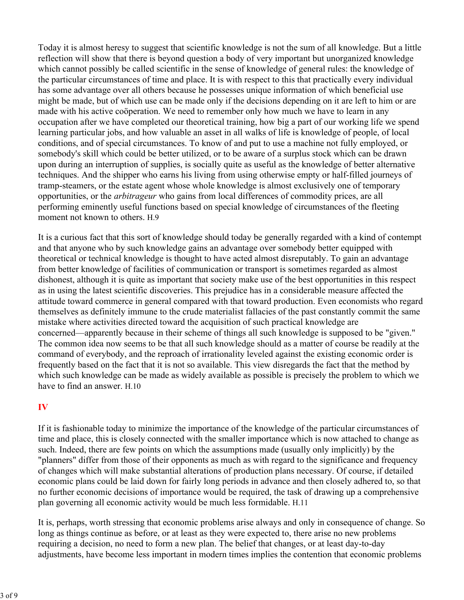Today it is almost heresy to suggest that scientific knowledge is not the sum of all knowledge. But a little reflection will show that there is beyond question a body of very important but unorganized knowledge which cannot possibly be called scientific in the sense of knowledge of general rules: the knowledge of the particular circumstances of time and place. It is with respect to this that practically every individual has some advantage over all others because he possesses unique information of which beneficial use might be made, but of which use can be made only if the decisions depending on it are left to him or are made with his active coöperation. We need to remember only how much we have to learn in any occupation after we have completed our theoretical training, how big a part of our working life we spend learning particular jobs, and how valuable an asset in all walks of life is knowledge of people, of local conditions, and of special circumstances. To know of and put to use a machine not fully employed, or somebody's skill which could be better utilized, or to be aware of a surplus stock which can be drawn upon during an interruption of supplies, is socially quite as useful as the knowledge of better alternative techniques. And the shipper who earns his living from using otherwise empty or half-filled journeys of tramp-steamers, or the estate agent whose whole knowledge is almost exclusively one of temporary opportunities, or the *arbitrageur* who gains from local differences of commodity prices, are all performing eminently useful functions based on special knowledge of circumstances of the fleeting moment not known to others. H.9

It is a curious fact that this sort of knowledge should today be generally regarded with a kind of contempt and that anyone who by such knowledge gains an advantage over somebody better equipped with theoretical or technical knowledge is thought to have acted almost disreputably. To gain an advantage from better knowledge of facilities of communication or transport is sometimes regarded as almost dishonest, although it is quite as important that society make use of the best opportunities in this respect as in using the latest scientific discoveries. This prejudice has in a considerable measure affected the attitude toward commerce in general compared with that toward production. Even economists who regard themselves as definitely immune to the crude materialist fallacies of the past constantly commit the same mistake where activities directed toward the acquisition of such practical knowledge are concerned—apparently because in their scheme of things all such knowledge is supposed to be "given." The common idea now seems to be that all such knowledge should as a matter of course be readily at the command of everybody, and the reproach of irrationality leveled against the existing economic order is frequently based on the fact that it is not so available. This view disregards the fact that the method by which such knowledge can be made as widely available as possible is precisely the problem to which we have to find an answer. H.10

#### **IV**

If it is fashionable today to minimize the importance of the knowledge of the particular circumstances of time and place, this is closely connected with the smaller importance which is now attached to change as such. Indeed, there are few points on which the assumptions made (usually only implicitly) by the "planners" differ from those of their opponents as much as with regard to the significance and frequency of changes which will make substantial alterations of production plans necessary. Of course, if detailed economic plans could be laid down for fairly long periods in advance and then closely adhered to, so that no further economic decisions of importance would be required, the task of drawing up a comprehensive plan governing all economic activity would be much less formidable. H.11

It is, perhaps, worth stressing that economic problems arise always and only in consequence of change. So long as things continue as before, or at least as they were expected to, there arise no new problems requiring a decision, no need to form a new plan. The belief that changes, or at least day-to-day adjustments, have become less important in modern times implies the contention that economic problems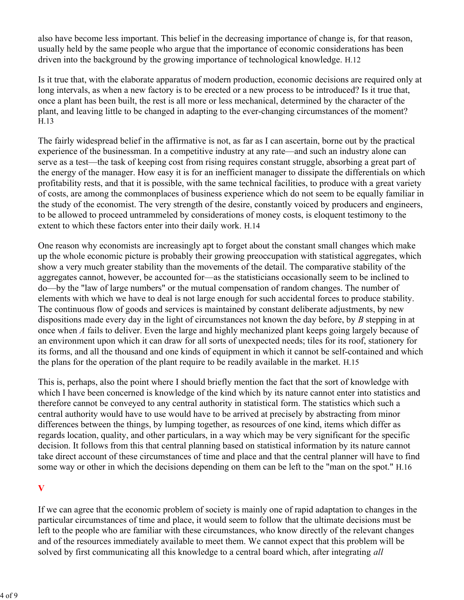also have become less important. This belief in the decreasing importance of change is, for that reason, usually held by the same people who argue that the importance of economic considerations has been driven into the background by the growing importance of technological knowledge. H.12

Is it true that, with the elaborate apparatus of modern production, economic decisions are required only at long intervals, as when a new factory is to be erected or a new process to be introduced? Is it true that, once a plant has been built, the rest is all more or less mechanical, determined by the character of the plant, and leaving little to be changed in adapting to the ever-changing circumstances of the moment? H.13

The fairly widespread belief in the affirmative is not, as far as I can ascertain, borne out by the practical experience of the businessman. In a competitive industry at any rate—and such an industry alone can serve as a test—the task of keeping cost from rising requires constant struggle, absorbing a great part of the energy of the manager. How easy it is for an inefficient manager to dissipate the differentials on which profitability rests, and that it is possible, with the same technical facilities, to produce with a great variety of costs, are among the commonplaces of business experience which do not seem to be equally familiar in the study of the economist. The very strength of the desire, constantly voiced by producers and engineers, to be allowed to proceed untrammeled by considerations of money costs, is eloquent testimony to the extent to which these factors enter into their daily work. H.14

One reason why economists are increasingly apt to forget about the constant small changes which make up the whole economic picture is probably their growing preoccupation with statistical aggregates, which show a very much greater stability than the movements of the detail. The comparative stability of the aggregates cannot, however, be accounted for—as the statisticians occasionally seem to be inclined to do—by the "law of large numbers" or the mutual compensation of random changes. The number of elements with which we have to deal is not large enough for such accidental forces to produce stability. The continuous flow of goods and services is maintained by constant deliberate adjustments, by new dispositions made every day in the light of circumstances not known the day before, by *B* stepping in at once when *A* fails to deliver. Even the large and highly mechanized plant keeps going largely because of an environment upon which it can draw for all sorts of unexpected needs; tiles for its roof, stationery for its forms, and all the thousand and one kinds of equipment in which it cannot be self-contained and which the plans for the operation of the plant require to be readily available in the market. H.15

This is, perhaps, also the point where I should briefly mention the fact that the sort of knowledge with which I have been concerned is knowledge of the kind which by its nature cannot enter into statistics and therefore cannot be conveyed to any central authority in statistical form. The statistics which such a central authority would have to use would have to be arrived at precisely by abstracting from minor differences between the things, by lumping together, as resources of one kind, items which differ as regards location, quality, and other particulars, in a way which may be very significant for the specific decision. It follows from this that central planning based on statistical information by its nature cannot take direct account of these circumstances of time and place and that the central planner will have to find some way or other in which the decisions depending on them can be left to the "man on the spot." H.16

#### **V**

If we can agree that the economic problem of society is mainly one of rapid adaptation to changes in the particular circumstances of time and place, it would seem to follow that the ultimate decisions must be left to the people who are familiar with these circumstances, who know directly of the relevant changes and of the resources immediately available to meet them. We cannot expect that this problem will be solved by first communicating all this knowledge to a central board which, after integrating *all*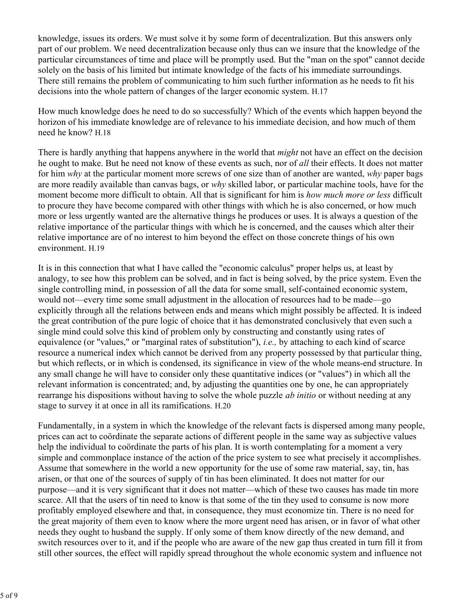knowledge, issues its orders. We must solve it by some form of decentralization. But this answers only part of our problem. We need decentralization because only thus can we insure that the knowledge of the particular circumstances of time and place will be promptly used. But the "man on the spot" cannot decide solely on the basis of his limited but intimate knowledge of the facts of his immediate surroundings. There still remains the problem of communicating to him such further information as he needs to fit his decisions into the whole pattern of changes of the larger economic system. H.17

How much knowledge does he need to do so successfully? Which of the events which happen beyond the horizon of his immediate knowledge are of relevance to his immediate decision, and how much of them need he know? H.18

There is hardly anything that happens anywhere in the world that *might* not have an effect on the decision he ought to make. But he need not know of these events as such, nor of *all* their effects. It does not matter for him *why* at the particular moment more screws of one size than of another are wanted, *why* paper bags are more readily available than canvas bags, or *why* skilled labor, or particular machine tools, have for the moment become more difficult to obtain. All that is significant for him is *how much more or less* difficult to procure they have become compared with other things with which he is also concerned, or how much more or less urgently wanted are the alternative things he produces or uses. It is always a question of the relative importance of the particular things with which he is concerned, and the causes which alter their relative importance are of no interest to him beyond the effect on those concrete things of his own environment. H.19

It is in this connection that what I have called the "economic calculus" proper helps us, at least by analogy, to see how this problem can be solved, and in fact is being solved, by the price system. Even the single controlling mind, in possession of all the data for some small, self-contained economic system, would not—every time some small adjustment in the allocation of resources had to be made—go explicitly through all the relations between ends and means which might possibly be affected. It is indeed the great contribution of the pure logic of choice that it has demonstrated conclusively that even such a single mind could solve this kind of problem only by constructing and constantly using rates of equivalence (or "values," or "marginal rates of substitution"), *i.e.,* by attaching to each kind of scarce resource a numerical index which cannot be derived from any property possessed by that particular thing, but which reflects, or in which is condensed, its significance in view of the whole means-end structure. In any small change he will have to consider only these quantitative indices (or "values") in which all the relevant information is concentrated; and, by adjusting the quantities one by one, he can appropriately rearrange his dispositions without having to solve the whole puzzle *ab initio* or without needing at any stage to survey it at once in all its ramifications. H.20

Fundamentally, in a system in which the knowledge of the relevant facts is dispersed among many people, prices can act to coördinate the separate actions of different people in the same way as subjective values help the individual to coördinate the parts of his plan. It is worth contemplating for a moment a very simple and commonplace instance of the action of the price system to see what precisely it accomplishes. Assume that somewhere in the world a new opportunity for the use of some raw material, say, tin, has arisen, or that one of the sources of supply of tin has been eliminated. It does not matter for our purpose—and it is very significant that it does not matter—which of these two causes has made tin more scarce. All that the users of tin need to know is that some of the tin they used to consume is now more profitably employed elsewhere and that, in consequence, they must economize tin. There is no need for the great majority of them even to know where the more urgent need has arisen, or in favor of what other needs they ought to husband the supply. If only some of them know directly of the new demand, and switch resources over to it, and if the people who are aware of the new gap thus created in turn fill it from still other sources, the effect will rapidly spread throughout the whole economic system and influence not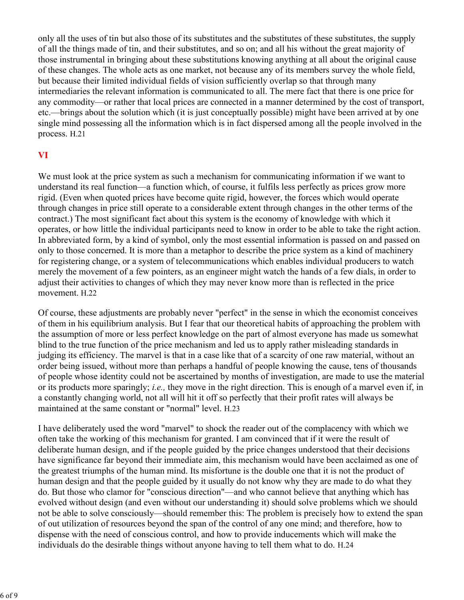only all the uses of tin but also those of its substitutes and the substitutes of these substitutes, the supply of all the things made of tin, and their substitutes, and so on; and all his without the great majority of those instrumental in bringing about these substitutions knowing anything at all about the original cause of these changes. The whole acts as one market, not because any of its members survey the whole field, but because their limited individual fields of vision sufficiently overlap so that through many intermediaries the relevant information is communicated to all. The mere fact that there is one price for any commodity—or rather that local prices are connected in a manner determined by the cost of transport, etc.—brings about the solution which (it is just conceptually possible) might have been arrived at by one single mind possessing all the information which is in fact dispersed among all the people involved in the process. H.21

#### **VI**

We must look at the price system as such a mechanism for communicating information if we want to understand its real function—a function which, of course, it fulfils less perfectly as prices grow more rigid. (Even when quoted prices have become quite rigid, however, the forces which would operate through changes in price still operate to a considerable extent through changes in the other terms of the contract.) The most significant fact about this system is the economy of knowledge with which it operates, or how little the individual participants need to know in order to be able to take the right action. In abbreviated form, by a kind of symbol, only the most essential information is passed on and passed on only to those concerned. It is more than a metaphor to describe the price system as a kind of machinery for registering change, or a system of telecommunications which enables individual producers to watch merely the movement of a few pointers, as an engineer might watch the hands of a few dials, in order to adjust their activities to changes of which they may never know more than is reflected in the price movement. H.22

Of course, these adjustments are probably never "perfect" in the sense in which the economist conceives of them in his equilibrium analysis. But I fear that our theoretical habits of approaching the problem with the assumption of more or less perfect knowledge on the part of almost everyone has made us somewhat blind to the true function of the price mechanism and led us to apply rather misleading standards in judging its efficiency. The marvel is that in a case like that of a scarcity of one raw material, without an order being issued, without more than perhaps a handful of people knowing the cause, tens of thousands of people whose identity could not be ascertained by months of investigation, are made to use the material or its products more sparingly; *i.e.,* they move in the right direction. This is enough of a marvel even if, in a constantly changing world, not all will hit it off so perfectly that their profit rates will always be maintained at the same constant or "normal" level. H.23

I have deliberately used the word "marvel" to shock the reader out of the complacency with which we often take the working of this mechanism for granted. I am convinced that if it were the result of deliberate human design, and if the people guided by the price changes understood that their decisions have significance far beyond their immediate aim, this mechanism would have been acclaimed as one of the greatest triumphs of the human mind. Its misfortune is the double one that it is not the product of human design and that the people guided by it usually do not know why they are made to do what they do. But those who clamor for "conscious direction"—and who cannot believe that anything which has evolved without design (and even without our understanding it) should solve problems which we should not be able to solve consciously—should remember this: The problem is precisely how to extend the span of out utilization of resources beyond the span of the control of any one mind; and therefore, how to dispense with the need of conscious control, and how to provide inducements which will make the individuals do the desirable things without anyone having to tell them what to do. H.24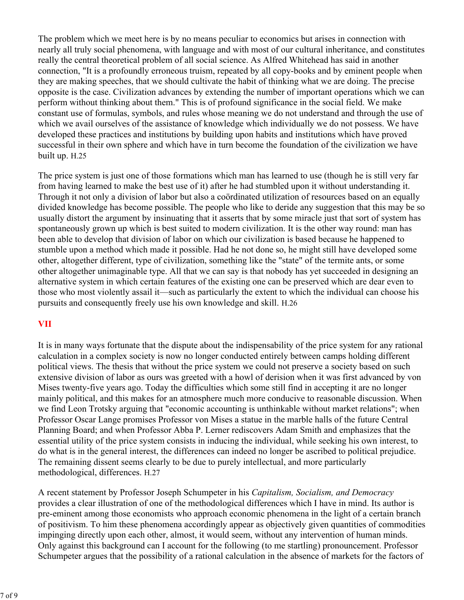The problem which we meet here is by no means peculiar to economics but arises in connection with nearly all truly social phenomena, with language and with most of our cultural inheritance, and constitutes really the central theoretical problem of all social science. As Alfred Whitehead has said in another connection, "It is a profoundly erroneous truism, repeated by all copy-books and by eminent people when they are making speeches, that we should cultivate the habit of thinking what we are doing. The precise opposite is the case. Civilization advances by extending the number of important operations which we can perform without thinking about them." This is of profound significance in the social field. We make constant use of formulas, symbols, and rules whose meaning we do not understand and through the use of which we avail ourselves of the assistance of knowledge which individually we do not possess. We have developed these practices and institutions by building upon habits and institutions which have proved successful in their own sphere and which have in turn become the foundation of the civilization we have built up. H.25

The price system is just one of those formations which man has learned to use (though he is still very far from having learned to make the best use of it) after he had stumbled upon it without understanding it. Through it not only a division of labor but also a coördinated utilization of resources based on an equally divided knowledge has become possible. The people who like to deride any suggestion that this may be so usually distort the argument by insinuating that it asserts that by some miracle just that sort of system has spontaneously grown up which is best suited to modern civilization. It is the other way round: man has been able to develop that division of labor on which our civilization is based because he happened to stumble upon a method which made it possible. Had he not done so, he might still have developed some other, altogether different, type of civilization, something like the "state" of the termite ants, or some other altogether unimaginable type. All that we can say is that nobody has yet succeeded in designing an alternative system in which certain features of the existing one can be preserved which are dear even to those who most violently assail it—such as particularly the extent to which the individual can choose his pursuits and consequently freely use his own knowledge and skill. H.26

#### **VII**

It is in many ways fortunate that the dispute about the indispensability of the price system for any rational calculation in a complex society is now no longer conducted entirely between camps holding different political views. The thesis that without the price system we could not preserve a society based on such extensive division of labor as ours was greeted with a howl of derision when it was first advanced by von Mises twenty-five years ago. Today the difficulties which some still find in accepting it are no longer mainly political, and this makes for an atmosphere much more conducive to reasonable discussion. When we find Leon Trotsky arguing that "economic accounting is unthinkable without market relations"; when Professor Oscar Lange promises Professor von Mises a statue in the marble halls of the future Central Planning Board; and when Professor Abba P. Lerner rediscovers Adam Smith and emphasizes that the essential utility of the price system consists in inducing the individual, while seeking his own interest, to do what is in the general interest, the differences can indeed no longer be ascribed to political prejudice. The remaining dissent seems clearly to be due to purely intellectual, and more particularly methodological, differences. H.27

A recent statement by Professor Joseph Schumpeter in his *Capitalism, Socialism, and Democracy* provides a clear illustration of one of the methodological differences which I have in mind. Its author is pre-eminent among those economists who approach economic phenomena in the light of a certain branch of positivism. To him these phenomena accordingly appear as objectively given quantities of commodities impinging directly upon each other, almost, it would seem, without any intervention of human minds. Only against this background can I account for the following (to me startling) pronouncement. Professor Schumpeter argues that the possibility of a rational calculation in the absence of markets for the factors of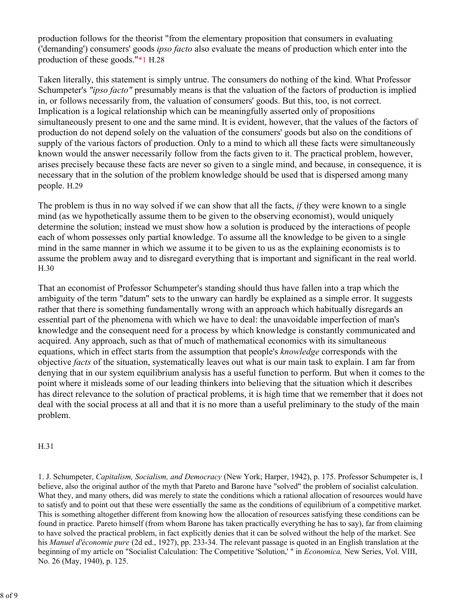production follows for the theorist "from the elementary proposition that consumers in evaluating ('demanding') consumers' goods *ipso facto* also evaluate the means of production which enter into the production of these goods."\*1 H.28

Taken literally, this statement is simply untrue. The consumers do nothing of the kind. What Professor Schumpeter's *"ipso facto"* presumably means is that the valuation of the factors of production is implied in, or follows necessarily from, the valuation of consumers' goods. But this, too, is not correct. Implication is a logical relationship which can be meaningfully asserted only of propositions simultaneously present to one and the same mind. It is evident, however, that the values of the factors of production do not depend solely on the valuation of the consumers' goods but also on the conditions of supply of the various factors of production. Only to a mind to which all these facts were simultaneously known would the answer necessarily follow from the facts given to it. The practical problem, however, arises precisely because these facts are never so given to a single mind, and because, in consequence, it is necessary that in the solution of the problem knowledge should be used that is dispersed among many people. H.29

The problem is thus in no way solved if we can show that all the facts, *if* they were known to a single mind (as we hypothetically assume them to be given to the observing economist), would uniquely determine the solution; instead we must show how a solution is produced by the interactions of people each of whom possesses only partial knowledge. To assume all the knowledge to be given to a single mind in the same manner in which we assume it to be given to us as the explaining economists is to assume the problem away and to disregard everything that is important and significant in the real world. H.30

That an economist of Professor Schumpeter's standing should thus have fallen into a trap which the ambiguity of the term "datum" sets to the unwary can hardly be explained as a simple error. It suggests rather that there is something fundamentally wrong with an approach which habitually disregards an essential part of the phenomena with which we have to deal: the unavoidable imperfection of man's knowledge and the consequent need for a process by which knowledge is constantly communicated and acquired. Any approach, such as that of much of mathematical economics with its simultaneous equations, which in effect starts from the assumption that people's *knowledge* corresponds with the objective *facts* of the situation, systematically leaves out what is our main task to explain. I am far from denying that in our system equilibrium analysis has a useful function to perform. But when it comes to the point where it misleads some of our leading thinkers into believing that the situation which it describes has direct relevance to the solution of practical problems, it is high time that we remember that it does not deal with the social process at all and that it is no more than a useful preliminary to the study of the main problem.

#### H.31

1. J. Schumpeter, *Capitalism, Socialism, and Democracy* (New York; Harper, 1942), p. 175. Professor Schumpeter is, I believe, also the original author of the myth that Pareto and Barone have "solved" the problem of socialist calculation. What they, and many others, did was merely to state the conditions which a rational allocation of resources would have to satisfy and to point out that these were essentially the same as the conditions of equilibrium of a competitive market. This is something altogether different from knowing how the allocation of resources satisfying these conditions can be found in practice. Pareto himself (from whom Barone has taken practically everything he has to say), far from claiming to have solved the practical problem, in fact explicitly denies that it can be solved without the help of the market. See his *Manuel d'économie pure* (2d ed., 1927), pp. 233-34. The relevant passage is quoted in an English translation at the beginning of my article on "Socialist Calculation: The Competitive 'Solution,' " in *Economica,* New Series, Vol. VIII, No. 26 (May, 1940), p. 125.